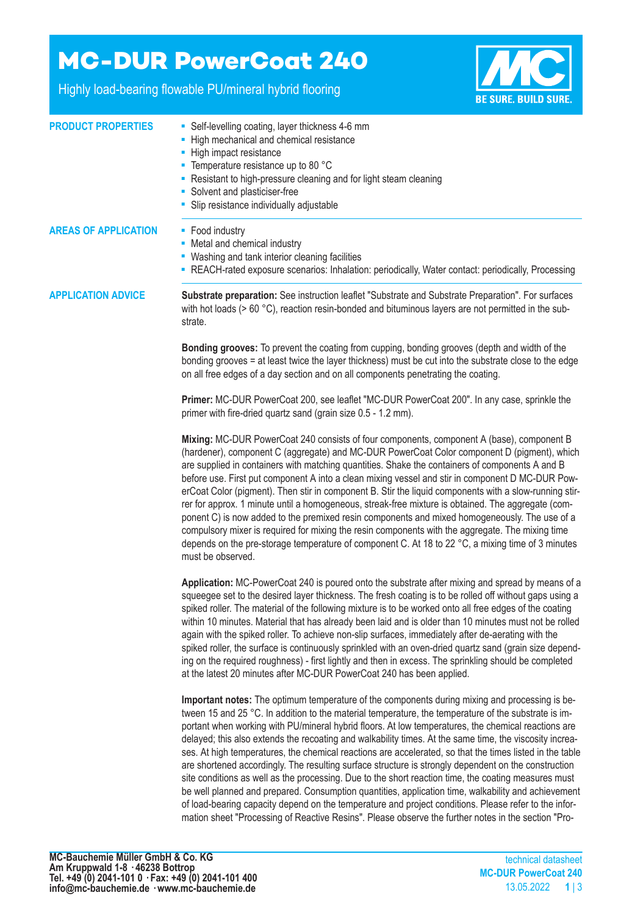## **MC-DUR PowerCoat 240**

Highly load-bearing flowable PU/mineral hybrid flooring



| <b>PRODUCT PROPERTIES</b>   | • Self-levelling coating, layer thickness 4-6 mm<br>- High mechanical and chemical resistance<br>- High impact resistance<br>• Temperature resistance up to 80 °C<br>- Resistant to high-pressure cleaning and for light steam cleaning<br>• Solvent and plasticiser-free<br>Slip resistance individually adjustable                                                                                                                                                                                                                                                                                                                                                                                                                                                                                                                                                                                                                                                                                                                                                        |  |  |
|-----------------------------|-----------------------------------------------------------------------------------------------------------------------------------------------------------------------------------------------------------------------------------------------------------------------------------------------------------------------------------------------------------------------------------------------------------------------------------------------------------------------------------------------------------------------------------------------------------------------------------------------------------------------------------------------------------------------------------------------------------------------------------------------------------------------------------------------------------------------------------------------------------------------------------------------------------------------------------------------------------------------------------------------------------------------------------------------------------------------------|--|--|
| <b>AREAS OF APPLICATION</b> | • Food industry<br>• Metal and chemical industry<br>• Washing and tank interior cleaning facilities<br>- REACH-rated exposure scenarios: Inhalation: periodically, Water contact: periodically, Processing                                                                                                                                                                                                                                                                                                                                                                                                                                                                                                                                                                                                                                                                                                                                                                                                                                                                  |  |  |
| <b>APPLICATION ADVICE</b>   | Substrate preparation: See instruction leaflet "Substrate and Substrate Preparation". For surfaces<br>with hot loads ( $> 60$ °C), reaction resin-bonded and bituminous layers are not permitted in the sub-<br>strate.                                                                                                                                                                                                                                                                                                                                                                                                                                                                                                                                                                                                                                                                                                                                                                                                                                                     |  |  |
|                             | Bonding grooves: To prevent the coating from cupping, bonding grooves (depth and width of the<br>bonding grooves = at least twice the layer thickness) must be cut into the substrate close to the edge<br>on all free edges of a day section and on all components penetrating the coating.                                                                                                                                                                                                                                                                                                                                                                                                                                                                                                                                                                                                                                                                                                                                                                                |  |  |
|                             | Primer: MC-DUR PowerCoat 200, see leaflet "MC-DUR PowerCoat 200". In any case, sprinkle the<br>primer with fire-dried quartz sand (grain size 0.5 - 1.2 mm).                                                                                                                                                                                                                                                                                                                                                                                                                                                                                                                                                                                                                                                                                                                                                                                                                                                                                                                |  |  |
|                             | Mixing: MC-DUR PowerCoat 240 consists of four components, component A (base), component B<br>(hardener), component C (aggregate) and MC-DUR PowerCoat Color component D (pigment), which<br>are supplied in containers with matching quantities. Shake the containers of components A and B<br>before use. First put component A into a clean mixing vessel and stir in component D MC-DUR Pow-<br>erCoat Color (pigment). Then stir in component B. Stir the liquid components with a slow-running stir-<br>rer for approx. 1 minute until a homogeneous, streak-free mixture is obtained. The aggregate (com-<br>ponent C) is now added to the premixed resin components and mixed homogeneously. The use of a<br>compulsory mixer is required for mixing the resin components with the aggregate. The mixing time<br>depends on the pre-storage temperature of component C. At 18 to 22 °C, a mixing time of 3 minutes<br>must be observed.                                                                                                                              |  |  |
|                             | Application: MC-PowerCoat 240 is poured onto the substrate after mixing and spread by means of a<br>squeegee set to the desired layer thickness. The fresh coating is to be rolled off without gaps using a<br>spiked roller. The material of the following mixture is to be worked onto all free edges of the coating<br>within 10 minutes. Material that has already been laid and is older than 10 minutes must not be rolled<br>again with the spiked roller. To achieve non-slip surfaces, immediately after de-aerating with the<br>spiked roller, the surface is continuously sprinkled with an oven-dried quartz sand (grain size depend-<br>ing on the required roughness) - first lightly and then in excess. The sprinkling should be completed<br>at the latest 20 minutes after MC-DUR PowerCoat 240 has been applied.                                                                                                                                                                                                                                         |  |  |
|                             | Important notes: The optimum temperature of the components during mixing and processing is be-<br>tween 15 and 25 °C. In addition to the material temperature, the temperature of the substrate is im-<br>portant when working with PU/mineral hybrid floors. At low temperatures, the chemical reactions are<br>delayed; this also extends the recoating and walkability times. At the same time, the viscosity increa-<br>ses. At high temperatures, the chemical reactions are accelerated, so that the times listed in the table<br>are shortened accordingly. The resulting surface structure is strongly dependent on the construction<br>site conditions as well as the processing. Due to the short reaction time, the coating measures must<br>be well planned and prepared. Consumption quantities, application time, walkability and achievement<br>of load-bearing capacity depend on the temperature and project conditions. Please refer to the infor-<br>mation sheet "Processing of Reactive Resins". Please observe the further notes in the section "Pro- |  |  |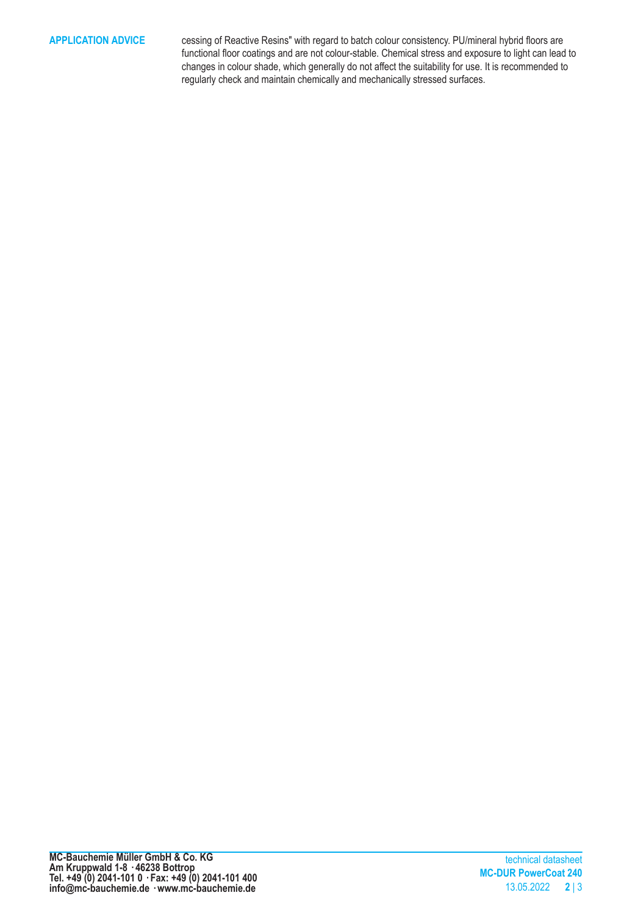**APPLICATION ADVICE** cessing of Reactive Resins" with regard to batch colour consistency. PU/mineral hybrid floors are functional floor coatings and are not colour-stable. Chemical stress and exposure to light can lead to changes in colour shade, which generally do not affect the suitability for use. It is recommended to regularly check and maintain chemically and mechanically stressed surfaces.